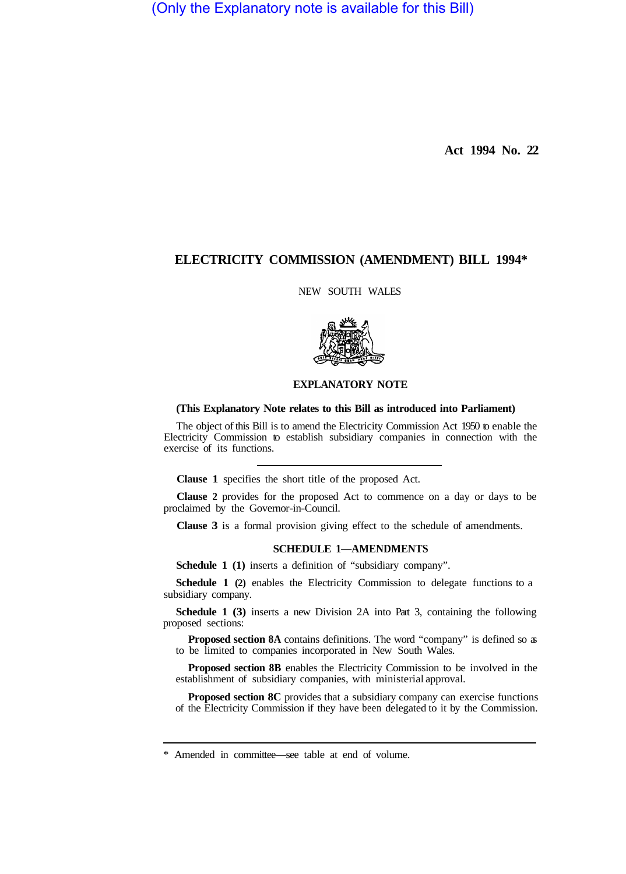(Only the Explanatory note is available for this Bill)

**Act 1994 No. 22** 

# **ELECTRICITY COMMISSION (AMENDMENT) BILL 1994\***

NEW SOUTH WALES



### **EXPLANATORY NOTE**

#### **(This Explanatory Note relates to this Bill as introduced into Parliament)**

The object of this Bill is to amend the Electricity Commission Act 1950 to enable the Electricity Commission to establish subsidiary companies in connection with the exercise of its functions.

**Clause 1** specifies the short title of the proposed Act.

**Clause 2** provides for the proposed Act to commence on a day or days to be proclaimed by the Governor-in-Council.

**Clause 3** is a formal provision giving effect to the schedule of amendments.

#### **SCHEDULE 1—AMENDMENTS**

**Schedule 1 (1)** inserts a definition of "subsidiary company".

**Schedule 1 (2)** enables the Electricity Commission to delegate functions to a subsidiary company.

**Schedule 1 (3)** inserts a new Division 2A into Part 3, containing the following proposed sections:

**Proposed section 8A** contains definitions. The word "company" is defined so as to be limited to companies incorporated in New South Wales.

**Proposed section 8B** enables the Electricity Commission to be involved in the establishment of subsidiary companies, with ministerial approval.

**Proposed section 8C** provides that a subsidiary company can exercise functions of the Electricity Commission if they have been delegated to it by the Commission.

<sup>\*</sup> Amended in committee—see table at end of volume.